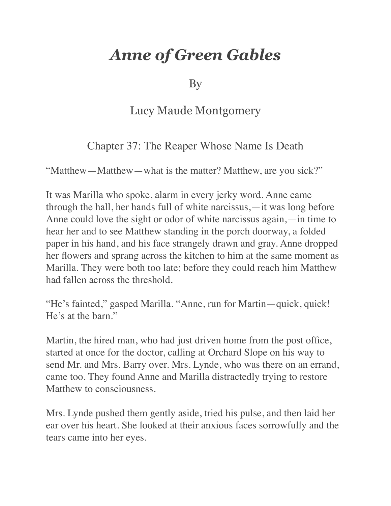## *Anne of Green Gables*

By

## Lucy Maude Montgomery

## Chapter 37: The Reaper Whose Name Is Death

"Matthew—Matthew—what is the matter? Matthew, are you sick?"

It was Marilla who spoke, alarm in every jerky word. Anne came through the hall, her hands full of white narcissus,—it was long before Anne could love the sight or odor of white narcissus again,—in time to hear her and to see Matthew standing in the porch doorway, a folded paper in his hand, and his face strangely drawn and gray. Anne dropped her flowers and sprang across the kitchen to him at the same moment as Marilla. They were both too late; before they could reach him Matthew had fallen across the threshold.

"He's fainted," gasped Marilla. "Anne, run for Martin—quick, quick! He's at the barn."

Martin, the hired man, who had just driven home from the post office, started at once for the doctor, calling at Orchard Slope on his way to send Mr. and Mrs. Barry over. Mrs. Lynde, who was there on an errand, came too. They found Anne and Marilla distractedly trying to restore Matthew to consciousness.

Mrs. Lynde pushed them gently aside, tried his pulse, and then laid her ear over his heart. She looked at their anxious faces sorrowfully and the tears came into her eyes.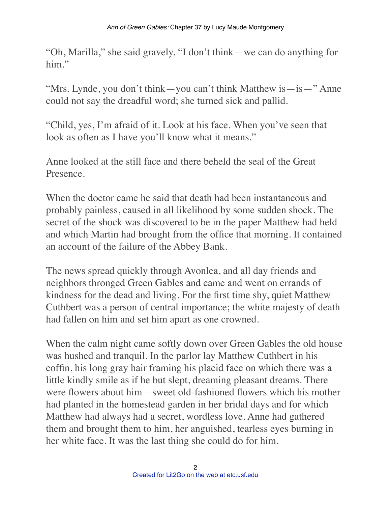"Oh, Marilla," she said gravely. "I don't think—we can do anything for him"

"Mrs. Lynde, you don't think—you can't think Matthew is—is—" Anne could not say the dreadful word; she turned sick and pallid.

"Child, yes, I'm afraid of it. Look at his face. When you've seen that look as often as I have you'll know what it means."

Anne looked at the still face and there beheld the seal of the Great Presence.

When the doctor came he said that death had been instantaneous and probably painless, caused in all likelihood by some sudden shock. The secret of the shock was discovered to be in the paper Matthew had held and which Martin had brought from the office that morning. It contained an account of the failure of the Abbey Bank.

The news spread quickly through Avonlea, and all day friends and neighbors thronged Green Gables and came and went on errands of kindness for the dead and living. For the first time shy, quiet Matthew Cuthbert was a person of central importance; the white majesty of death had fallen on him and set him apart as one crowned.

When the calm night came softly down over Green Gables the old house was hushed and tranquil. In the parlor lay Matthew Cuthbert in his coffin, his long gray hair framing his placid face on which there was a little kindly smile as if he but slept, dreaming pleasant dreams. There were flowers about him—sweet old-fashioned flowers which his mother had planted in the homestead garden in her bridal days and for which Matthew had always had a secret, wordless love. Anne had gathered them and brought them to him, her anguished, tearless eyes burning in her white face. It was the last thing she could do for him.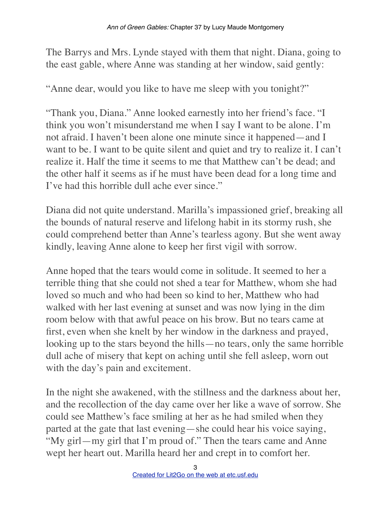The Barrys and Mrs. Lynde stayed with them that night. Diana, going to the east gable, where Anne was standing at her window, said gently:

"Anne dear, would you like to have me sleep with you tonight?"

"Thank you, Diana." Anne looked earnestly into her friend's face. "I think you won't misunderstand me when I say I want to be alone. I'm not afraid. I haven't been alone one minute since it happened—and I want to be. I want to be quite silent and quiet and try to realize it. I can't realize it. Half the time it seems to me that Matthew can't be dead; and the other half it seems as if he must have been dead for a long time and I've had this horrible dull ache ever since."

Diana did not quite understand. Marilla's impassioned grief, breaking all the bounds of natural reserve and lifelong habit in its stormy rush, she could comprehend better than Anne's tearless agony. But she went away kindly, leaving Anne alone to keep her first vigil with sorrow.

Anne hoped that the tears would come in solitude. It seemed to her a terrible thing that she could not shed a tear for Matthew, whom she had loved so much and who had been so kind to her, Matthew who had walked with her last evening at sunset and was now lying in the dim room below with that awful peace on his brow. But no tears came at first, even when she knelt by her window in the darkness and prayed, looking up to the stars beyond the hills—no tears, only the same horrible dull ache of misery that kept on aching until she fell asleep, worn out with the day's pain and excitement.

In the night she awakened, with the stillness and the darkness about her, and the recollection of the day came over her like a wave of sorrow. She could see Matthew's face smiling at her as he had smiled when they parted at the gate that last evening—she could hear his voice saying, "My girl—my girl that I'm proud of." Then the tears came and Anne wept her heart out. Marilla heard her and crept in to comfort her.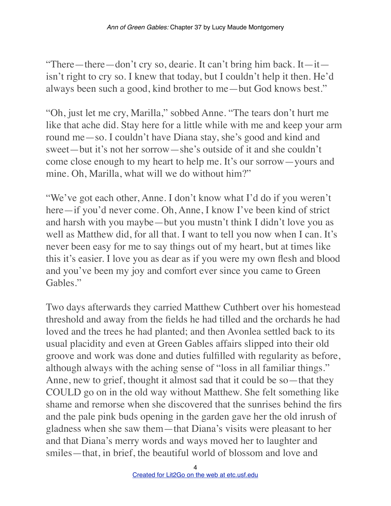"There—there—don't cry so, dearie. It can't bring him back. It—it isn't right to cry so. I knew that today, but I couldn't help it then. He'd always been such a good, kind brother to me—but God knows best."

"Oh, just let me cry, Marilla," sobbed Anne. "The tears don't hurt me like that ache did. Stay here for a little while with me and keep your arm round me—so. I couldn't have Diana stay, she's good and kind and sweet—but it's not her sorrow—she's outside of it and she couldn't come close enough to my heart to help me. It's our sorrow—yours and mine. Oh, Marilla, what will we do without him?"

"We've got each other, Anne. I don't know what I'd do if you weren't here—if you'd never come. Oh, Anne, I know I've been kind of strict and harsh with you maybe—but you mustn't think I didn't love you as well as Matthew did, for all that. I want to tell you now when I can. It's never been easy for me to say things out of my heart, but at times like this it's easier. I love you as dear as if you were my own flesh and blood and you've been my joy and comfort ever since you came to Green Gables."

Two days afterwards they carried Matthew Cuthbert over his homestead threshold and away from the fields he had tilled and the orchards he had loved and the trees he had planted; and then Avonlea settled back to its usual placidity and even at Green Gables affairs slipped into their old groove and work was done and duties fulfilled with regularity as before, although always with the aching sense of "loss in all familiar things." Anne, new to grief, thought it almost sad that it could be so—that they COULD go on in the old way without Matthew. She felt something like shame and remorse when she discovered that the sunrises behind the firs and the pale pink buds opening in the garden gave her the old inrush of gladness when she saw them—that Diana's visits were pleasant to her and that Diana's merry words and ways moved her to laughter and smiles—that, in brief, the beautiful world of blossom and love and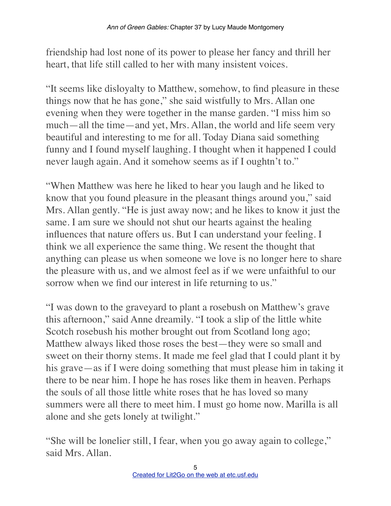friendship had lost none of its power to please her fancy and thrill her heart, that life still called to her with many insistent voices.

"It seems like disloyalty to Matthew, somehow, to find pleasure in these things now that he has gone," she said wistfully to Mrs. Allan one evening when they were together in the manse garden. "I miss him so much—all the time—and yet, Mrs. Allan, the world and life seem very beautiful and interesting to me for all. Today Diana said something funny and I found myself laughing. I thought when it happened I could never laugh again. And it somehow seems as if I oughtn't to."

"When Matthew was here he liked to hear you laugh and he liked to know that you found pleasure in the pleasant things around you," said Mrs. Allan gently. "He is just away now; and he likes to know it just the same. I am sure we should not shut our hearts against the healing influences that nature offers us. But I can understand your feeling. I think we all experience the same thing. We resent the thought that anything can please us when someone we love is no longer here to share the pleasure with us, and we almost feel as if we were unfaithful to our sorrow when we find our interest in life returning to us."

"I was down to the graveyard to plant a rosebush on Matthew's grave this afternoon," said Anne dreamily. "I took a slip of the little white Scotch rosebush his mother brought out from Scotland long ago; Matthew always liked those roses the best—they were so small and sweet on their thorny stems. It made me feel glad that I could plant it by his grave—as if I were doing something that must please him in taking it there to be near him. I hope he has roses like them in heaven. Perhaps the souls of all those little white roses that he has loved so many summers were all there to meet him. I must go home now. Marilla is all alone and she gets lonely at twilight."

"She will be lonelier still, I fear, when you go away again to college," said Mrs. Allan.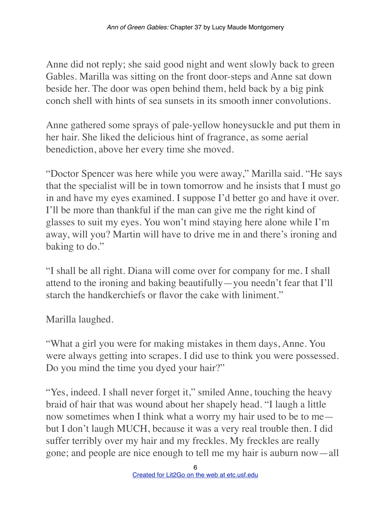Anne did not reply; she said good night and went slowly back to green Gables. Marilla was sitting on the front door-steps and Anne sat down beside her. The door was open behind them, held back by a big pink conch shell with hints of sea sunsets in its smooth inner convolutions.

Anne gathered some sprays of pale-yellow honeysuckle and put them in her hair. She liked the delicious hint of fragrance, as some aerial benediction, above her every time she moved.

"Doctor Spencer was here while you were away," Marilla said. "He says that the specialist will be in town tomorrow and he insists that I must go in and have my eyes examined. I suppose I'd better go and have it over. I'll be more than thankful if the man can give me the right kind of glasses to suit my eyes. You won't mind staying here alone while I'm away, will you? Martin will have to drive me in and there's ironing and baking to do."

"I shall be all right. Diana will come over for company for me. I shall attend to the ironing and baking beautifully—you needn't fear that I'll starch the handkerchiefs or flavor the cake with liniment."

Marilla laughed.

"What a girl you were for making mistakes in them days, Anne. You were always getting into scrapes. I did use to think you were possessed. Do you mind the time you dyed your hair?"

"Yes, indeed. I shall never forget it," smiled Anne, touching the heavy braid of hair that was wound about her shapely head. "I laugh a little now sometimes when I think what a worry my hair used to be to me but I don't laugh MUCH, because it was a very real trouble then. I did suffer terribly over my hair and my freckles. My freckles are really gone; and people are nice enough to tell me my hair is auburn now—all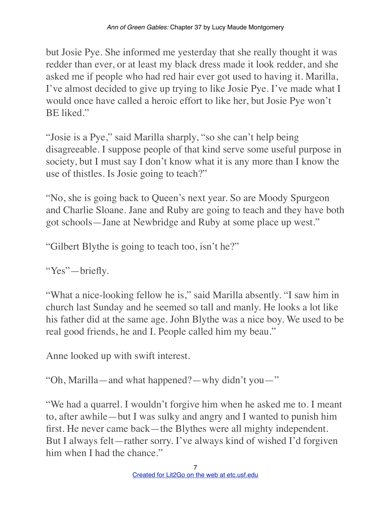but Josie Pye. She informed me yesterday that she really thought it was redder than ever, or at least my black dress made it look redder, and she asked me if people who had red hair ever got used to having it. Marilla, I've almost decided to give up trying to like Josie Pye. I've made what I would once have called a heroic effort to like her, but Josie Pye won't BE liked."

"Josie is a Pye," said Marilla sharply, "so she can't help being disagreeable. I suppose people of that kind serve some useful purpose in society, but I must say I don't know what it is any more than I know the use of thistles. Is Josie going to teach?"

"No, she is going back to Queen's next year. So are Moody Spurgeon and Charlie Sloane. Jane and Ruby are going to teach and they have both got schools—Jane at Newbridge and Ruby at some place up west."

"Gilbert Blythe is going to teach too, isn't he?"

"Yes"—briefly.

"What a nice-looking fellow he is," said Marilla absently. "I saw him in church last Sunday and he seemed so tall and manly. He looks a lot like his father did at the same age. John Blythe was a nice boy. We used to be real good friends, he and I. People called him my beau."

Anne looked up with swift interest.

"Oh, Marilla—and what happened?—why didn't you—"

"We had a quarrel. I wouldn't forgive him when he asked me to. I meant to, after awhile—but I was sulky and angry and I wanted to punish him first. He never came back—the Blythes were all mighty independent. But I always felt—rather sorry. I've always kind of wished I'd forgiven him when I had the chance."